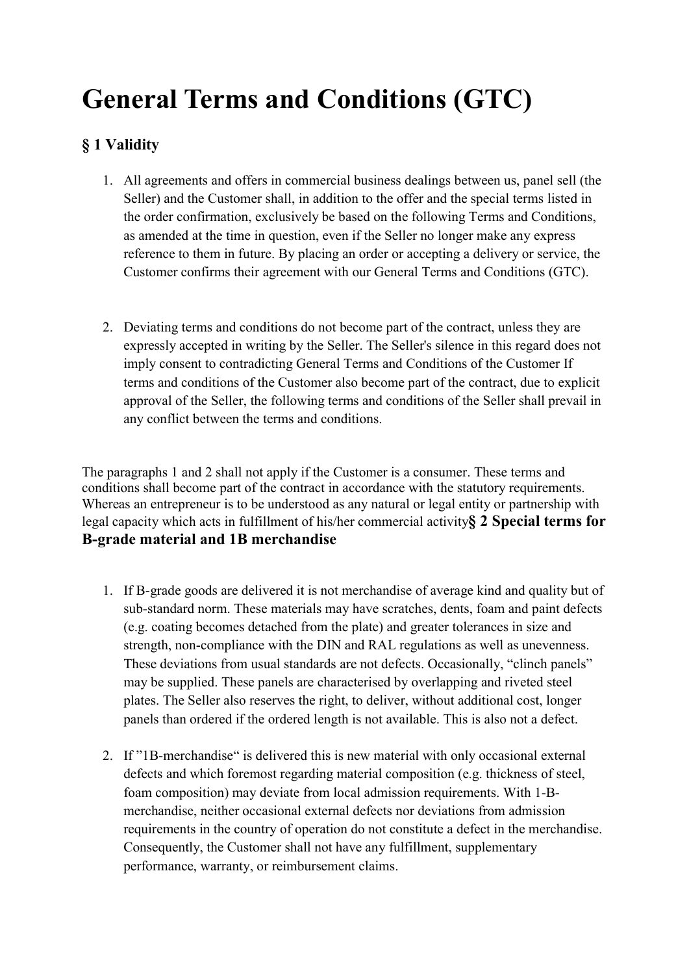# General Terms and Conditions (GTC)

# § 1 Validity

- 1. All agreements and offers in commercial business dealings between us, panel sell (the Seller) and the Customer shall, in addition to the offer and the special terms listed in the order confirmation, exclusively be based on the following Terms and Conditions, as amended at the time in question, even if the Seller no longer make any express reference to them in future. By placing an order or accepting a delivery or service, the Customer confirms their agreement with our General Terms and Conditions (GTC).
- 2. Deviating terms and conditions do not become part of the contract, unless they are expressly accepted in writing by the Seller. The Seller's silence in this regard does not imply consent to contradicting General Terms and Conditions of the Customer If terms and conditions of the Customer also become part of the contract, due to explicit approval of the Seller, the following terms and conditions of the Seller shall prevail in any conflict between the terms and conditions.

The paragraphs 1 and 2 shall not apply if the Customer is a consumer. These terms and conditions shall become part of the contract in accordance with the statutory requirements. Whereas an entrepreneur is to be understood as any natural or legal entity or partnership with legal capacity which acts in fulfillment of his/her commercial activity§ 2 Special terms for B-grade material and 1B merchandise

- 1. If B-grade goods are delivered it is not merchandise of average kind and quality but of sub-standard norm. These materials may have scratches, dents, foam and paint defects (e.g. coating becomes detached from the plate) and greater tolerances in size and strength, non-compliance with the DIN and RAL regulations as well as unevenness. These deviations from usual standards are not defects. Occasionally, "clinch panels" may be supplied. These panels are characterised by overlapping and riveted steel plates. The Seller also reserves the right, to deliver, without additional cost, longer panels than ordered if the ordered length is not available. This is also not a defect.
- 2. If "1B-merchandise" is delivered this is new material with only occasional external defects and which foremost regarding material composition (e.g. thickness of steel, foam composition) may deviate from local admission requirements. With 1-Bmerchandise, neither occasional external defects nor deviations from admission requirements in the country of operation do not constitute a defect in the merchandise. Consequently, the Customer shall not have any fulfillment, supplementary performance, warranty, or reimbursement claims.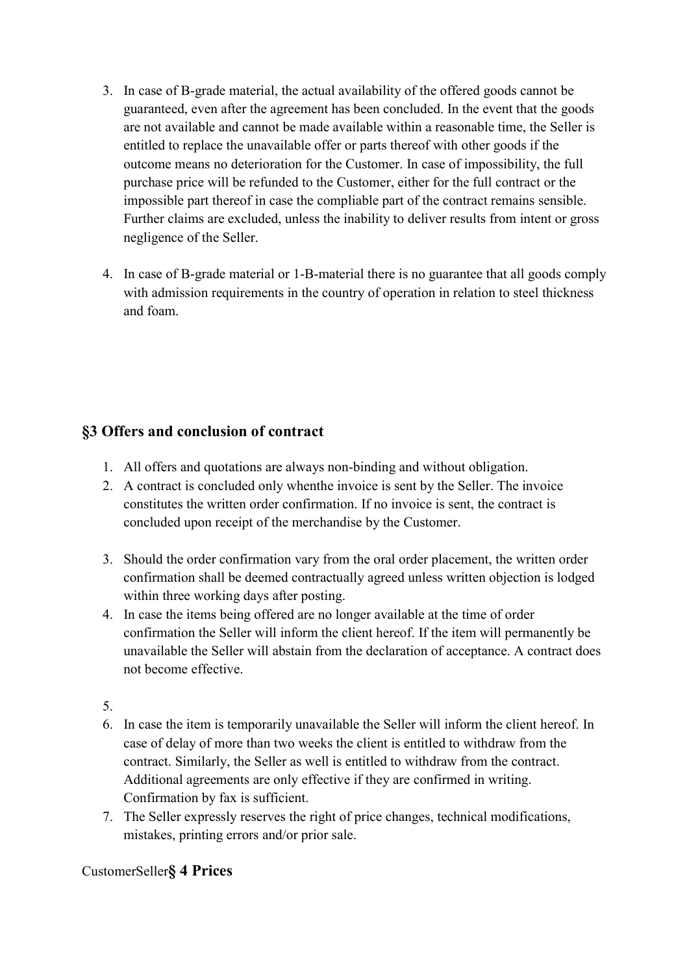- 3. In case of B-grade material, the actual availability of the offered goods cannot be guaranteed, even after the agreement has been concluded. In the event that the goods are not available and cannot be made available within a reasonable time, the Seller is entitled to replace the unavailable offer or parts thereof with other goods if the outcome means no deterioration for the Customer. In case of impossibility, the full purchase price will be refunded to the Customer, either for the full contract or the impossible part thereof in case the compliable part of the contract remains sensible. Further claims are excluded, unless the inability to deliver results from intent or gross negligence of the Seller.
- 4. In case of B-grade material or 1-B-material there is no guarantee that all goods comply with admission requirements in the country of operation in relation to steel thickness and foam.

# §3 Offers and conclusion of contract

- 1. All offers and quotations are always non-binding and without obligation.
- 2. A contract is concluded only whenthe invoice is sent by the Seller. The invoice constitutes the written order confirmation. If no invoice is sent, the contract is concluded upon receipt of the merchandise by the Customer.
- 3. Should the order confirmation vary from the oral order placement, the written order confirmation shall be deemed contractually agreed unless written objection is lodged within three working days after posting.
- 4. In case the items being offered are no longer available at the time of order confirmation the Seller will inform the client hereof. If the item will permanently be unavailable the Seller will abstain from the declaration of acceptance. A contract does not become effective.
- 5.
- 6. In case the item is temporarily unavailable the Seller will inform the client hereof. In case of delay of more than two weeks the client is entitled to withdraw from the contract. Similarly, the Seller as well is entitled to withdraw from the contract. Additional agreements are only effective if they are confirmed in writing. Confirmation by fax is sufficient.
- 7. The Seller expressly reserves the right of price changes, technical modifications, mistakes, printing errors and/or prior sale.

#### CustomerSeller§ 4 Prices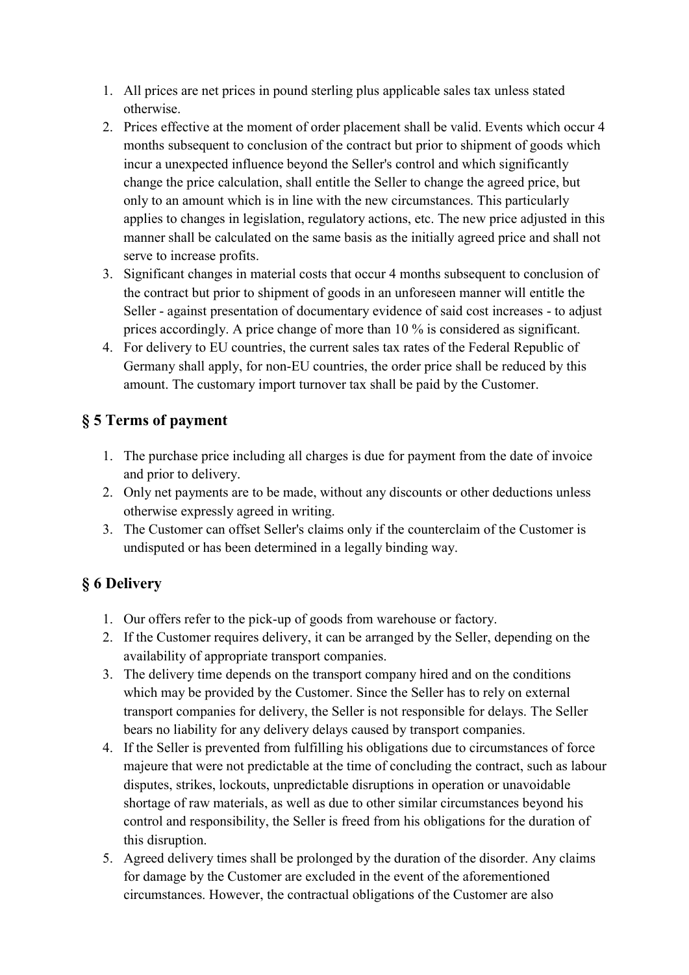- 1. All prices are net prices in pound sterling plus applicable sales tax unless stated otherwise.
- 2. Prices effective at the moment of order placement shall be valid. Events which occur 4 months subsequent to conclusion of the contract but prior to shipment of goods which incur a unexpected influence beyond the Seller's control and which significantly change the price calculation, shall entitle the Seller to change the agreed price, but only to an amount which is in line with the new circumstances. This particularly applies to changes in legislation, regulatory actions, etc. The new price adjusted in this manner shall be calculated on the same basis as the initially agreed price and shall not serve to increase profits.
- 3. Significant changes in material costs that occur 4 months subsequent to conclusion of the contract but prior to shipment of goods in an unforeseen manner will entitle the Seller - against presentation of documentary evidence of said cost increases - to adjust prices accordingly. A price change of more than 10 % is considered as significant.
- 4. For delivery to EU countries, the current sales tax rates of the Federal Republic of Germany shall apply, for non-EU countries, the order price shall be reduced by this amount. The customary import turnover tax shall be paid by the Customer.

# § 5 Terms of payment

- 1. The purchase price including all charges is due for payment from the date of invoice and prior to delivery.
- 2. Only net payments are to be made, without any discounts or other deductions unless otherwise expressly agreed in writing.
- 3. The Customer can offset Seller's claims only if the counterclaim of the Customer is undisputed or has been determined in a legally binding way.

# § 6 Delivery

- 1. Our offers refer to the pick-up of goods from warehouse or factory.
- 2. If the Customer requires delivery, it can be arranged by the Seller, depending on the availability of appropriate transport companies.
- 3. The delivery time depends on the transport company hired and on the conditions which may be provided by the Customer. Since the Seller has to rely on external transport companies for delivery, the Seller is not responsible for delays. The Seller bears no liability for any delivery delays caused by transport companies.
- 4. If the Seller is prevented from fulfilling his obligations due to circumstances of force majeure that were not predictable at the time of concluding the contract, such as labour disputes, strikes, lockouts, unpredictable disruptions in operation or unavoidable shortage of raw materials, as well as due to other similar circumstances beyond his control and responsibility, the Seller is freed from his obligations for the duration of this disruption.
- 5. Agreed delivery times shall be prolonged by the duration of the disorder. Any claims for damage by the Customer are excluded in the event of the aforementioned circumstances. However, the contractual obligations of the Customer are also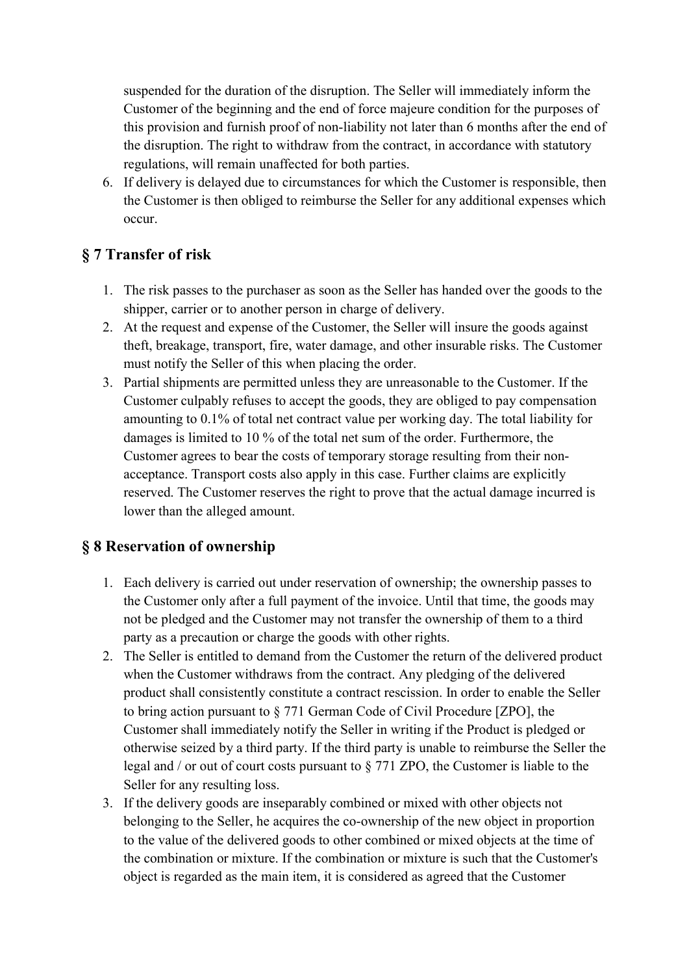suspended for the duration of the disruption. The Seller will immediately inform the Customer of the beginning and the end of force majeure condition for the purposes of this provision and furnish proof of non-liability not later than 6 months after the end of the disruption. The right to withdraw from the contract, in accordance with statutory regulations, will remain unaffected for both parties.

6. If delivery is delayed due to circumstances for which the Customer is responsible, then the Customer is then obliged to reimburse the Seller for any additional expenses which occur.

### § 7 Transfer of risk

- 1. The risk passes to the purchaser as soon as the Seller has handed over the goods to the shipper, carrier or to another person in charge of delivery.
- 2. At the request and expense of the Customer, the Seller will insure the goods against theft, breakage, transport, fire, water damage, and other insurable risks. The Customer must notify the Seller of this when placing the order.
- 3. Partial shipments are permitted unless they are unreasonable to the Customer. If the Customer culpably refuses to accept the goods, they are obliged to pay compensation amounting to 0.1% of total net contract value per working day. The total liability for damages is limited to 10 % of the total net sum of the order. Furthermore, the Customer agrees to bear the costs of temporary storage resulting from their nonacceptance. Transport costs also apply in this case. Further claims are explicitly reserved. The Customer reserves the right to prove that the actual damage incurred is lower than the alleged amount.

#### § 8 Reservation of ownership

- 1. Each delivery is carried out under reservation of ownership; the ownership passes to the Customer only after a full payment of the invoice. Until that time, the goods may not be pledged and the Customer may not transfer the ownership of them to a third party as a precaution or charge the goods with other rights.
- 2. The Seller is entitled to demand from the Customer the return of the delivered product when the Customer withdraws from the contract. Any pledging of the delivered product shall consistently constitute a contract rescission. In order to enable the Seller to bring action pursuant to § 771 German Code of Civil Procedure [ZPO], the Customer shall immediately notify the Seller in writing if the Product is pledged or otherwise seized by a third party. If the third party is unable to reimburse the Seller the legal and / or out of court costs pursuant to § 771 ZPO, the Customer is liable to the Seller for any resulting loss.
- 3. If the delivery goods are inseparably combined or mixed with other objects not belonging to the Seller, he acquires the co-ownership of the new object in proportion to the value of the delivered goods to other combined or mixed objects at the time of the combination or mixture. If the combination or mixture is such that the Customer's object is regarded as the main item, it is considered as agreed that the Customer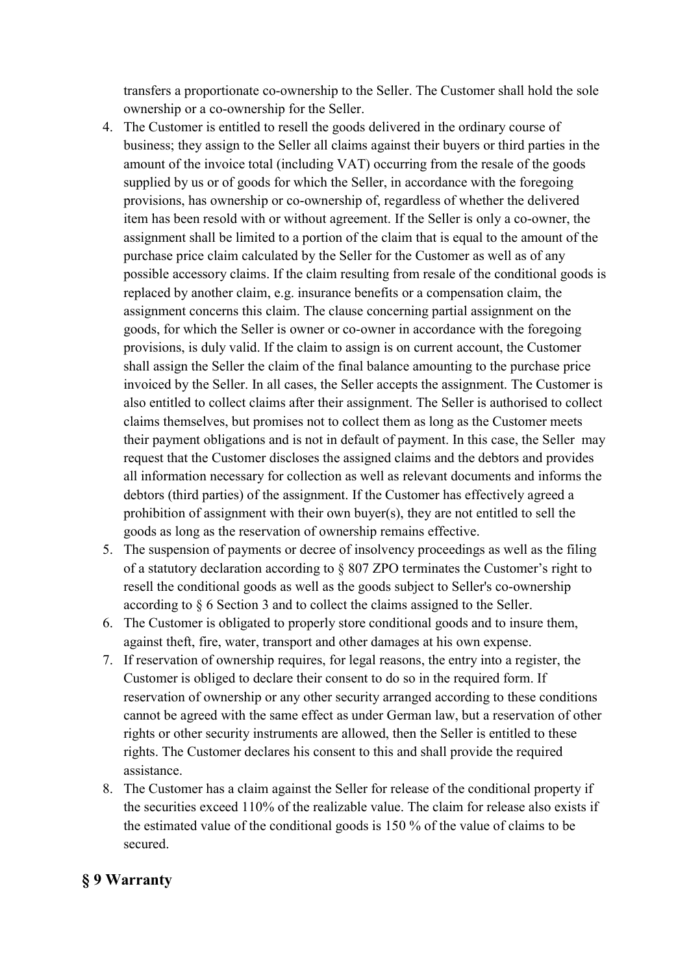transfers a proportionate co-ownership to the Seller. The Customer shall hold the sole ownership or a co-ownership for the Seller.

- 4. The Customer is entitled to resell the goods delivered in the ordinary course of business; they assign to the Seller all claims against their buyers or third parties in the amount of the invoice total (including VAT) occurring from the resale of the goods supplied by us or of goods for which the Seller, in accordance with the foregoing provisions, has ownership or co-ownership of, regardless of whether the delivered item has been resold with or without agreement. If the Seller is only a co-owner, the assignment shall be limited to a portion of the claim that is equal to the amount of the purchase price claim calculated by the Seller for the Customer as well as of any possible accessory claims. If the claim resulting from resale of the conditional goods is replaced by another claim, e.g. insurance benefits or a compensation claim, the assignment concerns this claim. The clause concerning partial assignment on the goods, for which the Seller is owner or co-owner in accordance with the foregoing provisions, is duly valid. If the claim to assign is on current account, the Customer shall assign the Seller the claim of the final balance amounting to the purchase price invoiced by the Seller. In all cases, the Seller accepts the assignment. The Customer is also entitled to collect claims after their assignment. The Seller is authorised to collect claims themselves, but promises not to collect them as long as the Customer meets their payment obligations and is not in default of payment. In this case, the Seller may request that the Customer discloses the assigned claims and the debtors and provides all information necessary for collection as well as relevant documents and informs the debtors (third parties) of the assignment. If the Customer has effectively agreed a prohibition of assignment with their own buyer(s), they are not entitled to sell the goods as long as the reservation of ownership remains effective.
- 5. The suspension of payments or decree of insolvency proceedings as well as the filing of a statutory declaration according to § 807 ZPO terminates the Customer's right to resell the conditional goods as well as the goods subject to Seller's co-ownership according to § 6 Section 3 and to collect the claims assigned to the Seller.
- 6. The Customer is obligated to properly store conditional goods and to insure them, against theft, fire, water, transport and other damages at his own expense.
- 7. If reservation of ownership requires, for legal reasons, the entry into a register, the Customer is obliged to declare their consent to do so in the required form. If reservation of ownership or any other security arranged according to these conditions cannot be agreed with the same effect as under German law, but a reservation of other rights or other security instruments are allowed, then the Seller is entitled to these rights. The Customer declares his consent to this and shall provide the required assistance.
- 8. The Customer has a claim against the Seller for release of the conditional property if the securities exceed 110% of the realizable value. The claim for release also exists if the estimated value of the conditional goods is 150 % of the value of claims to be secured.

#### § 9 Warranty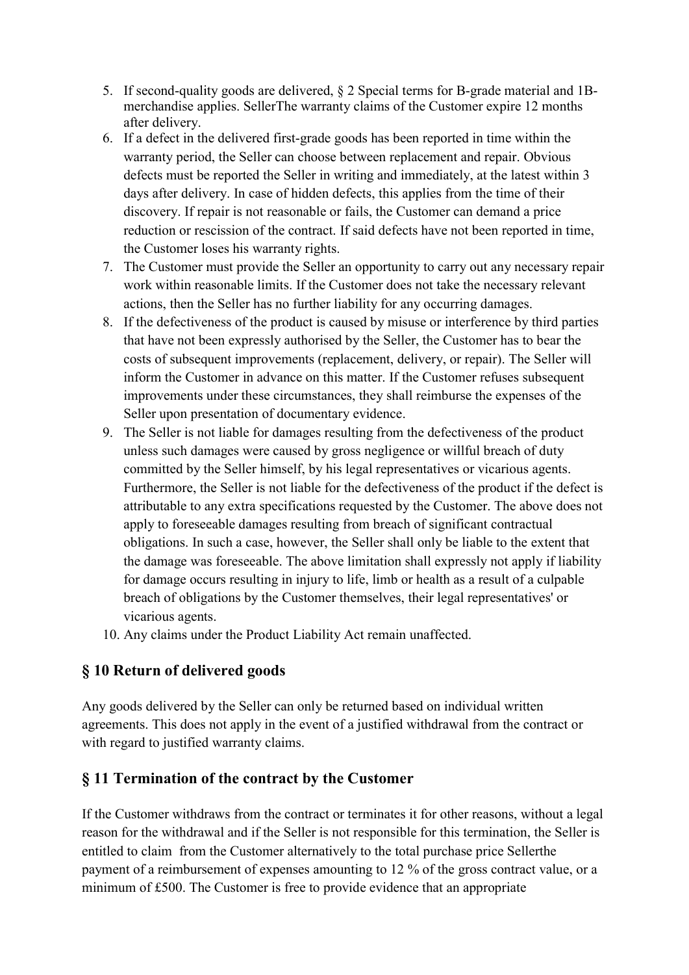- 5. If second-quality goods are delivered, § 2 Special terms for B-grade material and 1Bmerchandise applies. SellerThe warranty claims of the Customer expire 12 months after delivery.
- 6. If a defect in the delivered first-grade goods has been reported in time within the warranty period, the Seller can choose between replacement and repair. Obvious defects must be reported the Seller in writing and immediately, at the latest within 3 days after delivery. In case of hidden defects, this applies from the time of their discovery. If repair is not reasonable or fails, the Customer can demand a price reduction or rescission of the contract. If said defects have not been reported in time, the Customer loses his warranty rights.
- 7. The Customer must provide the Seller an opportunity to carry out any necessary repair work within reasonable limits. If the Customer does not take the necessary relevant actions, then the Seller has no further liability for any occurring damages.
- 8. If the defectiveness of the product is caused by misuse or interference by third parties that have not been expressly authorised by the Seller, the Customer has to bear the costs of subsequent improvements (replacement, delivery, or repair). The Seller will inform the Customer in advance on this matter. If the Customer refuses subsequent improvements under these circumstances, they shall reimburse the expenses of the Seller upon presentation of documentary evidence.
- 9. The Seller is not liable for damages resulting from the defectiveness of the product unless such damages were caused by gross negligence or willful breach of duty committed by the Seller himself, by his legal representatives or vicarious agents. Furthermore, the Seller is not liable for the defectiveness of the product if the defect is attributable to any extra specifications requested by the Customer. The above does not apply to foreseeable damages resulting from breach of significant contractual obligations. In such a case, however, the Seller shall only be liable to the extent that the damage was foreseeable. The above limitation shall expressly not apply if liability for damage occurs resulting in injury to life, limb or health as a result of a culpable breach of obligations by the Customer themselves, their legal representatives' or vicarious agents.
- 10. Any claims under the Product Liability Act remain unaffected.

#### § 10 Return of delivered goods

Any goods delivered by the Seller can only be returned based on individual written agreements. This does not apply in the event of a justified withdrawal from the contract or with regard to justified warranty claims.

#### § 11 Termination of the contract by the Customer

If the Customer withdraws from the contract or terminates it for other reasons, without a legal reason for the withdrawal and if the Seller is not responsible for this termination, the Seller is entitled to claim from the Customer alternatively to the total purchase price Sellerthe payment of a reimbursement of expenses amounting to 12 % of the gross contract value, or a minimum of £500. The Customer is free to provide evidence that an appropriate